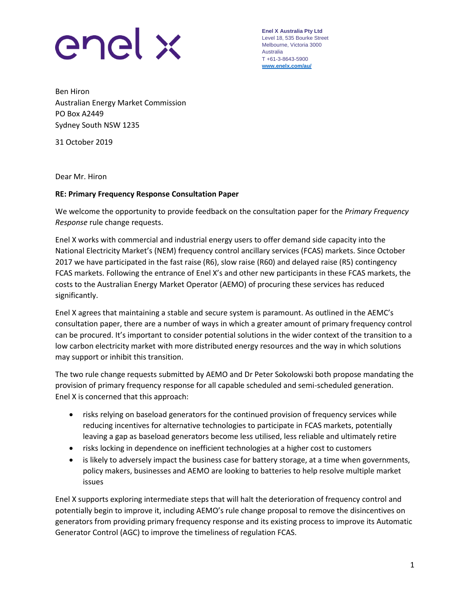

**Enel X Australia Pty Ltd** Level 18, 535 Bourke Street Melbourne, Victoria 3000 Australia T +61-3-8643-5900 **[www.enelx.com/a](http://www.enelx.com/)u/**

Ben Hiron Australian Energy Market Commission PO Box A2449 Sydney South NSW 1235

31 October 2019

Dear Mr. Hiron

## **RE: Primary Frequency Response Consultation Paper**

We welcome the opportunity to provide feedback on the consultation paper for the *Primary Frequency Response* rule change requests.

Enel X works with commercial and industrial energy users to offer demand side capacity into the National Electricity Market's (NEM) frequency control ancillary services (FCAS) markets. Since October 2017 we have participated in the fast raise (R6), slow raise (R60) and delayed raise (R5) contingency FCAS markets. Following the entrance of Enel X's and other new participants in these FCAS markets, the costs to the Australian Energy Market Operator (AEMO) of procuring these services has reduced significantly.

Enel X agrees that maintaining a stable and secure system is paramount. As outlined in the AEMC's consultation paper, there are a number of ways in which a greater amount of primary frequency control can be procured. It's important to consider potential solutions in the wider context of the transition to a low carbon electricity market with more distributed energy resources and the way in which solutions may support or inhibit this transition.

The two rule change requests submitted by AEMO and Dr Peter Sokolowski both propose mandating the provision of primary frequency response for all capable scheduled and semi-scheduled generation. Enel X is concerned that this approach:

- risks relying on baseload generators for the continued provision of frequency services while reducing incentives for alternative technologies to participate in FCAS markets, potentially leaving a gap as baseload generators become less utilised, less reliable and ultimately retire
- risks locking in dependence on inefficient technologies at a higher cost to customers
- is likely to adversely impact the business case for battery storage, at a time when governments, policy makers, businesses and AEMO are looking to batteries to help resolve multiple market issues

Enel X supports exploring intermediate steps that will halt the deterioration of frequency control and potentially begin to improve it, including AEMO's rule change proposal to remove the disincentives on generators from providing primary frequency response and its existing process to improve its Automatic Generator Control (AGC) to improve the timeliness of regulation FCAS.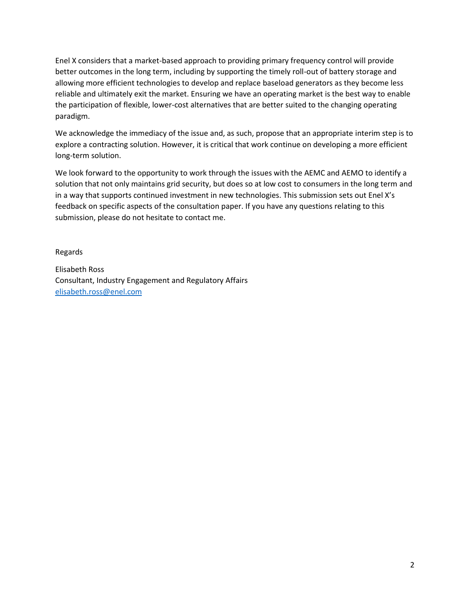Enel X considers that a market-based approach to providing primary frequency control will provide better outcomes in the long term, including by supporting the timely roll-out of battery storage and allowing more efficient technologies to develop and replace baseload generators as they become less reliable and ultimately exit the market. Ensuring we have an operating market is the best way to enable the participation of flexible, lower-cost alternatives that are better suited to the changing operating paradigm.

We acknowledge the immediacy of the issue and, as such, propose that an appropriate interim step is to explore a contracting solution. However, it is critical that work continue on developing a more efficient long-term solution.

We look forward to the opportunity to work through the issues with the AEMC and AEMO to identify a solution that not only maintains grid security, but does so at low cost to consumers in the long term and in a way that supports continued investment in new technologies. This submission sets out Enel X's feedback on specific aspects of the consultation paper. If you have any questions relating to this submission, please do not hesitate to contact me.

Regards

Elisabeth Ross Consultant, Industry Engagement and Regulatory Affairs [elisabeth.ross@enel.com](mailto:claire.richards@enel.com)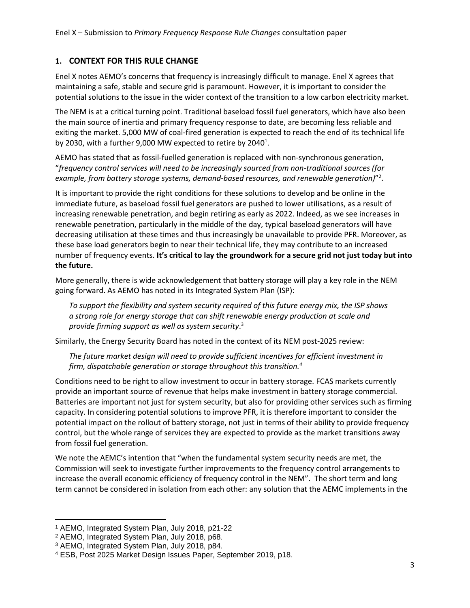# **1. CONTEXT FOR THIS RULE CHANGE**

Enel X notes AEMO's concerns that frequency is increasingly difficult to manage. Enel X agrees that maintaining a safe, stable and secure grid is paramount. However, it is important to consider the potential solutions to the issue in the wider context of the transition to a low carbon electricity market.

The NEM is at a critical turning point. Traditional baseload fossil fuel generators, which have also been the main source of inertia and primary frequency response to date, are becoming less reliable and exiting the market. 5,000 MW of coal-fired generation is expected to reach the end of its technical life by 2030, with a further 9,000 MW expected to retire by 2040<sup>1</sup>.

AEMO has stated that as fossil-fuelled generation is replaced with non-synchronous generation, "*frequency control services will need to be increasingly sourced from non-traditional sources (for example, from battery storage systems, demand-based resources, and renewable generation)*" 2 .

It is important to provide the right conditions for these solutions to develop and be online in the immediate future, as baseload fossil fuel generators are pushed to lower utilisations, as a result of increasing renewable penetration, and begin retiring as early as 2022. Indeed, as we see increases in renewable penetration, particularly in the middle of the day, typical baseload generators will have decreasing utilisation at these times and thus increasingly be unavailable to provide PFR. Moreover, as these base load generators begin to near their technical life, they may contribute to an increased number of frequency events. **It's critical to lay the groundwork for a secure grid not just today but into the future.**

More generally, there is wide acknowledgement that battery storage will play a key role in the NEM going forward. As AEMO has noted in its Integrated System Plan (ISP):

*To support the flexibility and system security required of this future energy mix, the ISP shows a strong role for energy storage that can shift renewable energy production at scale and provide firming support as well as system security*. 3

Similarly, the Energy Security Board has noted in the context of its NEM post-2025 review:

*The future market design will need to provide sufficient incentives for efficient investment in firm, dispatchable generation or storage throughout this transition.<sup>4</sup>*

Conditions need to be right to allow investment to occur in battery storage. FCAS markets currently provide an important source of revenue that helps make investment in battery storage commercial. Batteries are important not just for system security, but also for providing other services such as firming capacity. In considering potential solutions to improve PFR, it is therefore important to consider the potential impact on the rollout of battery storage, not just in terms of their ability to provide frequency control, but the whole range of services they are expected to provide as the market transitions away from fossil fuel generation.

We note the AEMC's intention that "when the fundamental system security needs are met, the Commission will seek to investigate further improvements to the frequency control arrangements to increase the overall economic efficiency of frequency control in the NEM". The short term and long term cannot be considered in isolation from each other: any solution that the AEMC implements in the

 $\overline{\phantom{a}}$ 

<sup>1</sup> AEMO, Integrated System Plan, July 2018, p21-22

<sup>2</sup> AEMO, Integrated System Plan, July 2018, p68.

<sup>3</sup> AEMO, Integrated System Plan, July 2018, p84.

<sup>4</sup> ESB, Post 2025 Market Design Issues Paper, September 2019, p18.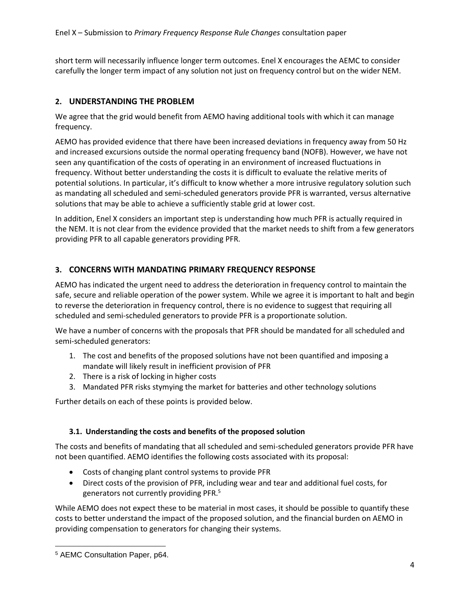short term will necessarily influence longer term outcomes. Enel X encourages the AEMC to consider carefully the longer term impact of any solution not just on frequency control but on the wider NEM.

# **2. UNDERSTANDING THE PROBLEM**

We agree that the grid would benefit from AEMO having additional tools with which it can manage frequency.

AEMO has provided evidence that there have been increased deviations in frequency away from 50 Hz and increased excursions outside the normal operating frequency band (NOFB). However, we have not seen any quantification of the costs of operating in an environment of increased fluctuations in frequency. Without better understanding the costs it is difficult to evaluate the relative merits of potential solutions. In particular, it's difficult to know whether a more intrusive regulatory solution such as mandating all scheduled and semi-scheduled generators provide PFR is warranted, versus alternative solutions that may be able to achieve a sufficiently stable grid at lower cost.

In addition, Enel X considers an important step is understanding how much PFR is actually required in the NEM. It is not clear from the evidence provided that the market needs to shift from a few generators providing PFR to all capable generators providing PFR.

# **3. CONCERNS WITH MANDATING PRIMARY FREQUENCY RESPONSE**

AEMO has indicated the urgent need to address the deterioration in frequency control to maintain the safe, secure and reliable operation of the power system. While we agree it is important to halt and begin to reverse the deterioration in frequency control, there is no evidence to suggest that requiring all scheduled and semi-scheduled generators to provide PFR is a proportionate solution.

We have a number of concerns with the proposals that PFR should be mandated for all scheduled and semi-scheduled generators:

- 1. The cost and benefits of the proposed solutions have not been quantified and imposing a mandate will likely result in inefficient provision of PFR
- 2. There is a risk of locking in higher costs
- 3. Mandated PFR risks stymying the market for batteries and other technology solutions

Further details on each of these points is provided below.

## **3.1. Understanding the costs and benefits of the proposed solution**

The costs and benefits of mandating that all scheduled and semi-scheduled generators provide PFR have not been quantified. AEMO identifies the following costs associated with its proposal:

- Costs of changing plant control systems to provide PFR
- Direct costs of the provision of PFR, including wear and tear and additional fuel costs, for generators not currently providing PFR.<sup>5</sup>

While AEMO does not expect these to be material in most cases, it should be possible to quantify these costs to better understand the impact of the proposed solution, and the financial burden on AEMO in providing compensation to generators for changing their systems.

 $\overline{\phantom{a}}$ <sup>5</sup> AEMC Consultation Paper, p64.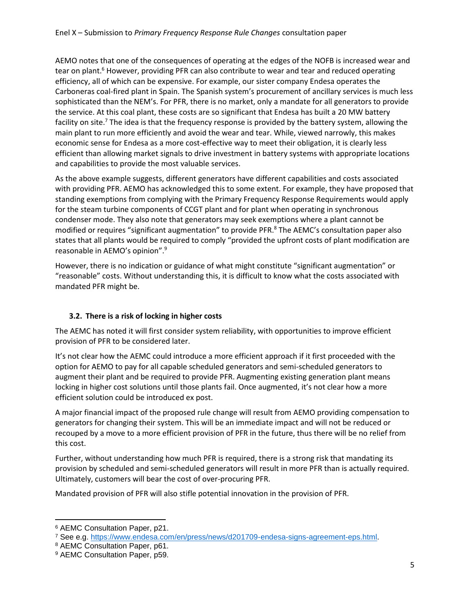AEMO notes that one of the consequences of operating at the edges of the NOFB is increased wear and tear on plant.<sup>6</sup> However, providing PFR can also contribute to wear and tear and reduced operating efficiency, all of which can be expensive. For example, our sister company Endesa operates the Carboneras coal-fired plant in Spain. The Spanish system's procurement of ancillary services is much less sophisticated than the NEM's. For PFR, there is no market, only a mandate for all generators to provide the service. At this coal plant, these costs are so significant that Endesa has built a 20 MW battery facility on site.<sup>7</sup> The idea is that the frequency response is provided by the battery system, allowing the main plant to run more efficiently and avoid the wear and tear. While, viewed narrowly, this makes economic sense for Endesa as a more cost-effective way to meet their obligation, it is clearly less efficient than allowing market signals to drive investment in battery systems with appropriate locations and capabilities to provide the most valuable services.

As the above example suggests, different generators have different capabilities and costs associated with providing PFR. AEMO has acknowledged this to some extent. For example, they have proposed that standing exemptions from complying with the Primary Frequency Response Requirements would apply for the steam turbine components of CCGT plant and for plant when operating in synchronous condenser mode. They also note that generators may seek exemptions where a plant cannot be modified or requires "significant augmentation" to provide PFR.<sup>8</sup> The AEMC's consultation paper also states that all plants would be required to comply "provided the upfront costs of plant modification are reasonable in AEMO's opinion".<sup>9</sup>

However, there is no indication or guidance of what might constitute "significant augmentation" or "reasonable" costs. Without understanding this, it is difficult to know what the costs associated with mandated PFR might be.

# **3.2. There is a risk of locking in higher costs**

The AEMC has noted it will first consider system reliability, with opportunities to improve efficient provision of PFR to be considered later.

It's not clear how the AEMC could introduce a more efficient approach if it first proceeded with the option for AEMO to pay for all capable scheduled generators and semi-scheduled generators to augment their plant and be required to provide PFR. Augmenting existing generation plant means locking in higher cost solutions until those plants fail. Once augmented, it's not clear how a more efficient solution could be introduced ex post.

A major financial impact of the proposed rule change will result from AEMO providing compensation to generators for changing their system. This will be an immediate impact and will not be reduced or recouped by a move to a more efficient provision of PFR in the future, thus there will be no relief from this cost.

Further, without understanding how much PFR is required, there is a strong risk that mandating its provision by scheduled and semi-scheduled generators will result in more PFR than is actually required. Ultimately, customers will bear the cost of over-procuring PFR.

Mandated provision of PFR will also stifle potential innovation in the provision of PFR.

 $\overline{\phantom{a}}$ <sup>6</sup> AEMC Consultation Paper, p21.

<sup>7</sup> See e.g. [https://www.endesa.com/en/press/news/d201709-endesa-signs-agreement-eps.html.](https://www.endesa.com/en/press/news/d201709-endesa-signs-agreement-eps.html)

<sup>8</sup> AEMC Consultation Paper, p61.

<sup>9</sup> AEMC Consultation Paper, p59.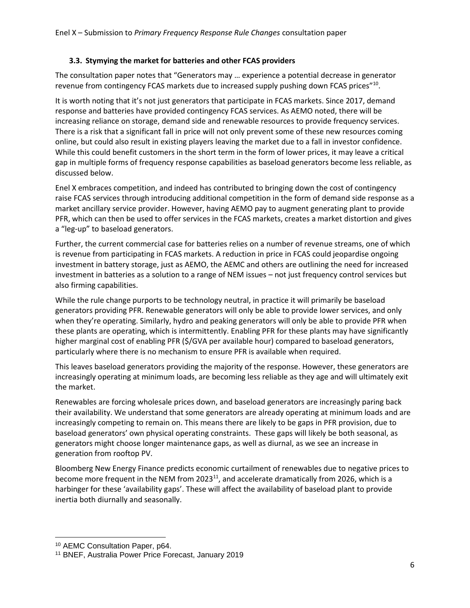## **3.3. Stymying the market for batteries and other FCAS providers**

The consultation paper notes that "Generators may … experience a potential decrease in generator revenue from contingency FCAS markets due to increased supply pushing down FCAS prices"<sup>10</sup>.

It is worth noting that it's not just generators that participate in FCAS markets. Since 2017, demand response and batteries have provided contingency FCAS services. As AEMO noted, there will be increasing reliance on storage, demand side and renewable resources to provide frequency services. There is a risk that a significant fall in price will not only prevent some of these new resources coming online, but could also result in existing players leaving the market due to a fall in investor confidence. While this could benefit customers in the short term in the form of lower prices, it may leave a critical gap in multiple forms of frequency response capabilities as baseload generators become less reliable, as discussed below.

Enel X embraces competition, and indeed has contributed to bringing down the cost of contingency raise FCAS services through introducing additional competition in the form of demand side response as a market ancillary service provider. However, having AEMO pay to augment generating plant to provide PFR, which can then be used to offer services in the FCAS markets, creates a market distortion and gives a "leg-up" to baseload generators.

Further, the current commercial case for batteries relies on a number of revenue streams, one of which is revenue from participating in FCAS markets. A reduction in price in FCAS could jeopardise ongoing investment in battery storage, just as AEMO, the AEMC and others are outlining the need for increased investment in batteries as a solution to a range of NEM issues – not just frequency control services but also firming capabilities.

While the rule change purports to be technology neutral, in practice it will primarily be baseload generators providing PFR. Renewable generators will only be able to provide lower services, and only when they're operating. Similarly, hydro and peaking generators will only be able to provide PFR when these plants are operating, which is intermittently. Enabling PFR for these plants may have significantly higher marginal cost of enabling PFR (\$/GVA per available hour) compared to baseload generators, particularly where there is no mechanism to ensure PFR is available when required.

This leaves baseload generators providing the majority of the response. However, these generators are increasingly operating at minimum loads, are becoming less reliable as they age and will ultimately exit the market.

Renewables are forcing wholesale prices down, and baseload generators are increasingly paring back their availability. We understand that some generators are already operating at minimum loads and are increasingly competing to remain on. This means there are likely to be gaps in PFR provision, due to baseload generators' own physical operating constraints. These gaps will likely be both seasonal, as generators might choose longer maintenance gaps, as well as diurnal, as we see an increase in generation from rooftop PV.

Bloomberg New Energy Finance predicts economic curtailment of renewables due to negative prices to become more frequent in the NEM from  $2023^{11}$ , and accelerate dramatically from 2026, which is a harbinger for these 'availability gaps'. These will affect the availability of baseload plant to provide inertia both diurnally and seasonally.

 $\overline{a}$ <sup>10</sup> AEMC Consultation Paper, p64.

<sup>11</sup> BNEF, Australia Power Price Forecast, January 2019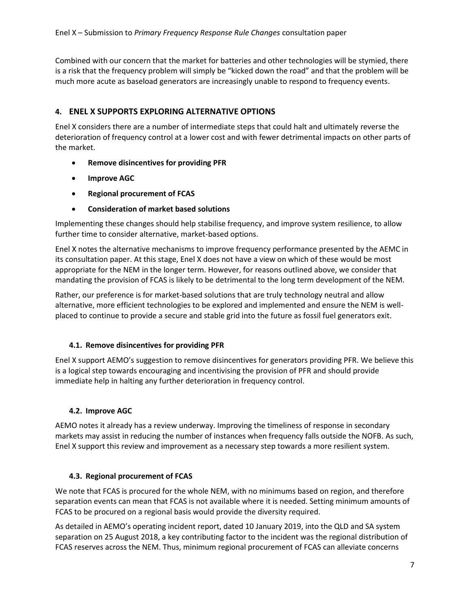Combined with our concern that the market for batteries and other technologies will be stymied, there is a risk that the frequency problem will simply be "kicked down the road" and that the problem will be much more acute as baseload generators are increasingly unable to respond to frequency events.

# **4. ENEL X SUPPORTS EXPLORING ALTERNATIVE OPTIONS**

Enel X considers there are a number of intermediate steps that could halt and ultimately reverse the deterioration of frequency control at a lower cost and with fewer detrimental impacts on other parts of the market.

- **Remove disincentives for providing PFR**
- **Improve AGC**
- **Regional procurement of FCAS**
- **Consideration of market based solutions**

Implementing these changes should help stabilise frequency, and improve system resilience, to allow further time to consider alternative, market-based options.

Enel X notes the alternative mechanisms to improve frequency performance presented by the AEMC in its consultation paper. At this stage, Enel X does not have a view on which of these would be most appropriate for the NEM in the longer term. However, for reasons outlined above, we consider that mandating the provision of FCAS is likely to be detrimental to the long term development of the NEM.

Rather, our preference is for market-based solutions that are truly technology neutral and allow alternative, more efficient technologies to be explored and implemented and ensure the NEM is wellplaced to continue to provide a secure and stable grid into the future as fossil fuel generators exit.

## **4.1. Remove disincentives for providing PFR**

Enel X support AEMO's suggestion to remove disincentives for generators providing PFR. We believe this is a logical step towards encouraging and incentivising the provision of PFR and should provide immediate help in halting any further deterioration in frequency control.

## **4.2. Improve AGC**

AEMO notes it already has a review underway. Improving the timeliness of response in secondary markets may assist in reducing the number of instances when frequency falls outside the NOFB. As such, Enel X support this review and improvement as a necessary step towards a more resilient system.

## **4.3. Regional procurement of FCAS**

We note that FCAS is procured for the whole NEM, with no minimums based on region, and therefore separation events can mean that FCAS is not available where it is needed. Setting minimum amounts of FCAS to be procured on a regional basis would provide the diversity required.

As detailed in AEMO's operating incident report, dated 10 January 2019, into the QLD and SA system separation on 25 August 2018, a key contributing factor to the incident was the regional distribution of FCAS reserves across the NEM. Thus, minimum regional procurement of FCAS can alleviate concerns